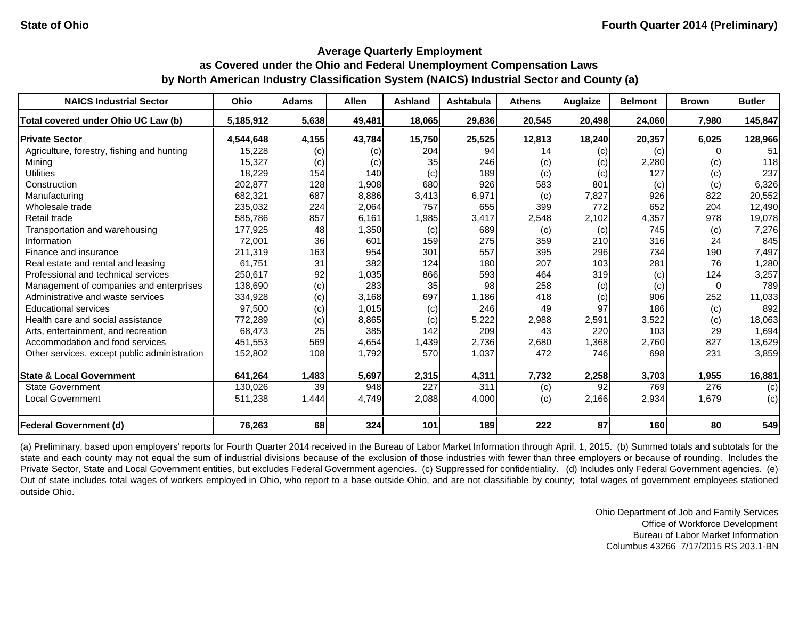#### **Average Quarterly Employment**

# **as Covered under the Ohio and Federal Unemployment Compensation Laws by North American Industry Classification System (NAICS) Industrial Sector and County (a)**

| <b>NAICS Industrial Sector</b>               | Ohio      | <b>Adams</b> | <b>Allen</b> | Ashland | <b>Ashtabula</b> | <b>Athens</b> | <b>Auglaize</b> | <b>Belmont</b> | <b>Brown</b> | <b>Butler</b> |
|----------------------------------------------|-----------|--------------|--------------|---------|------------------|---------------|-----------------|----------------|--------------|---------------|
| Total covered under Ohio UC Law (b)          | 5,185,912 | 5,638        | 49,481       | 18,065  | 29,836           | 20,545        | 20,498          | 24,060         | 7,980        | 145,847       |
| <b>Private Sector</b>                        | 4,544,648 | 4,155        | 43,784       | 15,750  | 25,525           | 12,813        | 18,240          | 20,357         | 6,025        | 128,966       |
| Agriculture, forestry, fishing and hunting   | 15,228    | (c)          | (c)          | 204     | 94               | 14            | (c)             | (c)            |              | 51            |
| Mining                                       | 15,327    | (c)          | (c)          | 35      | 246              | (c)           | (c)             | 2,280          | (c)          | 118           |
| <b>Utilities</b>                             | 18,229    | 154          | 140          | (c)     | 189              | (c)           | (c)             | 127            | (c)          | 237           |
| Construction                                 | 202,877   | 128          | 1,908        | 680     | 926              | 583           | 801             | (c)            | (c)          | 6,326         |
| Manufacturing                                | 682,321   | 687          | 8,886        | 3,413   | 6,971            | (c)           | 7,827           | 926            | 822          | 20,552        |
| Wholesale trade                              | 235,032   | 224          | 2,064        | 757     | 655              | 399           | 772             | 652            | 204          | 12,490        |
| Retail trade                                 | 585,786   | 857          | 6,161        | 1,985   | 3,417            | 2,548         | 2,102           | 4,357          | 978          | 19,078        |
| Transportation and warehousing               | 177,925   | 48           | 1,350        | (c)     | 689              | (c)           | (c)             | 745            | (c)          | 7,276         |
| Information                                  | 72,001    | 36           | 601          | 159     | 275              | 359           | 210             | 316            | 24           | 845           |
| Finance and insurance                        | 211,319   | 163          | 954          | 301     | 557              | 395           | 296             | 734            | 190          | 7,497         |
| Real estate and rental and leasing           | 61.751    | 31           | 382          | 124     | 180              | 207           | 103             | 281            | 76           | 1,280         |
| Professional and technical services          | 250,617   | 92           | 1,035        | 866     | 593              | 464           | 319             | (c)            | 124          | 3,257         |
| Management of companies and enterprises      | 138,690   | (c)          | 283          | 35      | 98               | 258           | (c)             | (c)            |              | 789           |
| Administrative and waste services            | 334,928   | (c)          | 3.168        | 697     | 1.186            | 418           | (c)             | 906            | 252          | 11,033        |
| <b>Educational services</b>                  | 97,500    | (c)          | 1,015        | (c)     | 246              | 49            | 97              | 186            | (c)          | 892           |
| Health care and social assistance            | 772,289   | (c)          | 8,865        | (c)     | 5,222            | 2,988         | 2,591           | 3,522          | (c)          | 18,063        |
| Arts, entertainment, and recreation          | 68,473    | 25           | 385          | 142     | 209              | 43            | 220             | 103            | 29           | 1,694         |
| Accommodation and food services              | 451,553   | 569          | 4,654        | 1,439   | 2,736            | 2,680         | 1,368           | 2,760          | 827          | 13,629        |
| Other services, except public administration | 152,802   | 108          | 1,792        | 570     | 1,037            | 472           | 746             | 698            | 231          | 3,859         |
| <b>State &amp; Local Government</b>          | 641,264   | 1,483        | 5,697        | 2,315   | 4,311            | 7,732         | 2,258           | 3,703          | 1,955        | 16,881        |
| <b>State Government</b>                      | 130,026   | 39           | 948          | 227     | 311              | (c)           | 92              | 769            | 276          | (c)           |
| <b>Local Government</b>                      | 511,238   | 1,444        | 4,749        | 2,088   | 4,000            | (c)           | 2,166           | 2,934          | 1,679        | (c)           |
| <b>Federal Government (d)</b>                | 76,263    | 68           | 324          | 101     | 189              | 222           | 87              | 160            | 80           | 549           |

(a) Preliminary, based upon employers' reports for Fourth Quarter 2014 received in the Bureau of Labor Market Information through April, 1, 2015. (b) Summed totals and subtotals for the state and each county may not equal the sum of industrial divisions because of the exclusion of those industries with fewer than three employers or because of rounding. Includes the Private Sector, State and Local Government entities, but excludes Federal Government agencies. (c) Suppressed for confidentiality. (d) Includes only Federal Government agencies. (e) Out of state includes total wages of workers employed in Ohio, who report to <sup>a</sup> base outside Ohio, and are not classifiable by county; total wages of government employees stationed outside Ohio.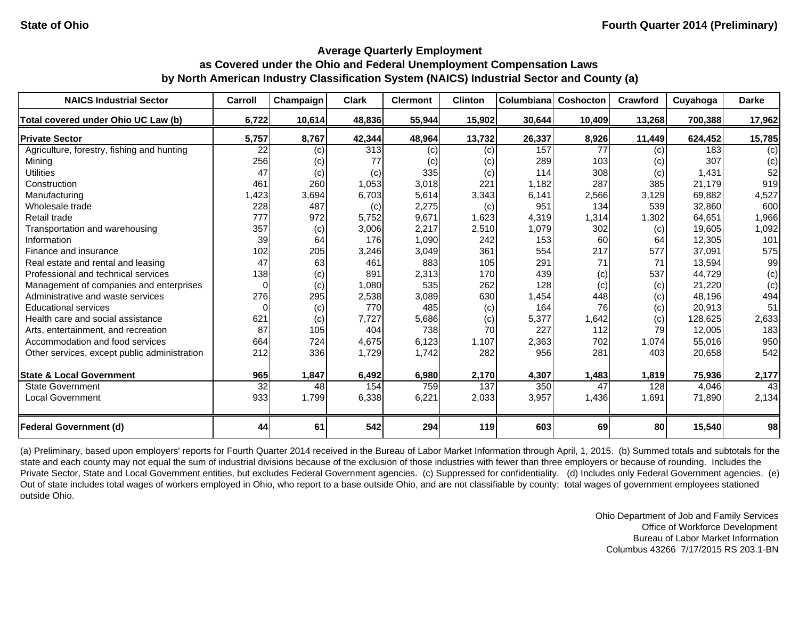| <b>NAICS Industrial Sector</b>               | Carroll         | Champaign | <b>Clark</b> | <b>Clermont</b> | <b>Clinton</b> | Columbiana | Coshocton | Crawford | Cuyahoga | <b>Darke</b> |
|----------------------------------------------|-----------------|-----------|--------------|-----------------|----------------|------------|-----------|----------|----------|--------------|
| Total covered under Ohio UC Law (b)          | 6,722           | 10,614    | 48,836       | 55,944          | 15,902         | 30,644     | 10,409    | 13,268   | 700,388  | 17,962       |
| <b>Private Sector</b>                        | 5,757           | 8,767     | 42,344       | 48,964          | 13,732         | 26,337     | 8,926     | 11,449   | 624,452  | 15,785       |
| Agriculture, forestry, fishing and hunting   | 22              | (c)       | 313          | (c)             | (c)            | 157        | 77        | (c)      | 183      | (c)          |
| Mining                                       | 256             | (c)       | 77           | (c)             | (c)            | 289        | 103       | (c)      | 307      | (c)          |
| <b>Utilities</b>                             | 47              | (c)       | (c)          | 335             | (c)            | 114        | 308       | (c)      | 1,431    | 52           |
| Construction                                 | 461             | 260       | 1,053        | 3,018           | 221            | 1,182      | 287       | 385      | 21,179   | 919          |
| Manufacturing                                | 1,423           | 3,694     | 6,703        | 5,614           | 3,343          | 6,141      | 2,566     | 3,129    | 69,882   | 4,527        |
| Wholesale trade                              | 228             | 487       | (c)          | 2,275           | (c)            | 951        | 134       | 539      | 32,860   | 600          |
| Retail trade                                 | 777             | 972       | 5,752        | 9,671           | 1,623          | 4,319      | 1,314     | 1,302    | 64,651   | 1,966        |
| Transportation and warehousing               | 357             | (c)       | 3,006        | 2,217           | 2,510          | 1,079      | 302       | (c)      | 19,605   | 1,092        |
| Information                                  | 39              | 64        | 176          | 1,090           | 242            | 153        | 60        | 64       | 12,305   | 101          |
| Finance and insurance                        | 102             | 205       | 3,246        | 3,049           | 361            | 554        | 217       | 577      | 37,091   | 575          |
| Real estate and rental and leasing           | 47              | 63        | 461          | 883             | 105            | 291        | 71        | 71       | 13,594   | 99           |
| Professional and technical services          | 138             | (c)       | 891          | 2,313           | 170            | 439        | (c)       | 537      | 44,729   | (c)          |
| Management of companies and enterprises      | $\Omega$        | (c)       | 1,080        | 535             | 262            | 128        | (c)       | (c)      | 21,220   | (c)          |
| Administrative and waste services            | 276             | 295       | 2,538        | 3,089           | 630            | 1,454      | 448       | (c)      | 48,196   | 494          |
| <b>Educational services</b>                  | $\Omega$        | (c)       | 770          | 485             | (c)            | 164        | 76        | (c)      | 20,913   | 51           |
| Health care and social assistance            | 621             | (c)       | 7,727        | 5,686           | (c)            | 5,377      | 1,642     | (c)      | 128,625  | 2,633        |
| Arts, entertainment, and recreation          | 87              | 105       | 404          | 738             | 70             | 227        | 112       | 79       | 12,005   | 183          |
| Accommodation and food services              | 664             | 724       | 4,675        | 6,123           | 1,107          | 2,363      | 702       | 1,074    | 55,016   | 950          |
| Other services, except public administration | 212             | 336       | 1,729        | 1,742           | 282            | 956        | 281       | 403      | 20,658   | 542          |
| <b>State &amp; Local Government</b>          | 965             | 1,847     | 6,492        | 6,980           | 2,170          | 4,307      | 1,483     | 1,819    | 75,936   | 2,177        |
| <b>State Government</b>                      | $\overline{32}$ | 48        | 154          | 759             | 137            | 350        | 47        | 128      | 4,046    | 43           |
| <b>Local Government</b>                      | 933             | 1,799     | 6,338        | 6,221           | 2,033          | 3,957      | 1,436     | 1,691    | 71,890   | 2,134        |
| <b>Federal Government (d)</b>                | 44              | 61        | 542          | 294             | 119            | 603        | 69        | 80       | 15,540   | 98           |

(a) Preliminary, based upon employers' reports for Fourth Quarter 2014 received in the Bureau of Labor Market Information through April, 1, 2015. (b) Summed totals and subtotals for the state and each county may not equal the sum of industrial divisions because of the exclusion of those industries with fewer than three employers or because of rounding. Includes the Private Sector, State and Local Government entities, but excludes Federal Government agencies. (c) Suppressed for confidentiality. (d) Includes only Federal Government agencies. (e) Out of state includes total wages of workers employed in Ohio, who report to a base outside Ohio, and are not classifiable by county; total wages of government employees stationed outside Ohio.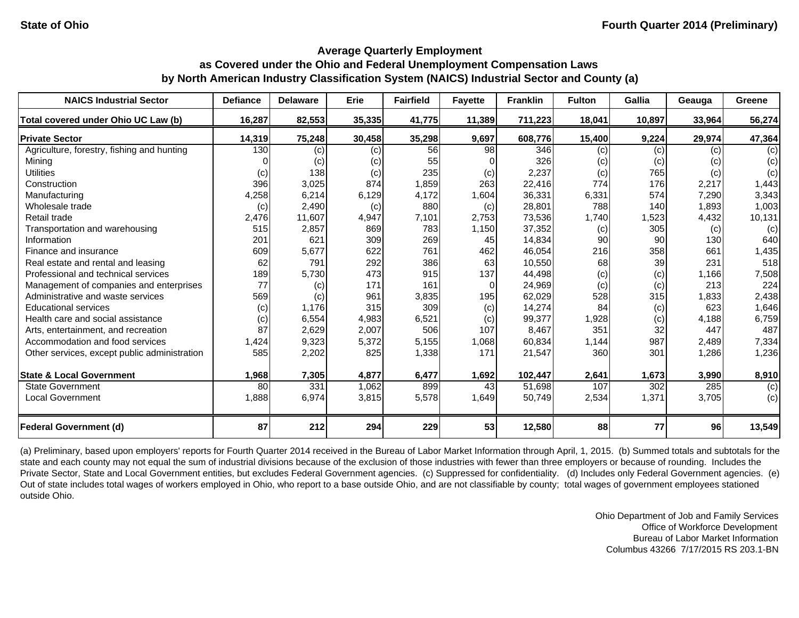| <b>NAICS Industrial Sector</b>               | <b>Defiance</b> | <b>Delaware</b> | Erie   | <b>Fairfield</b> | <b>Fayette</b> | <b>Franklin</b> | <b>Fulton</b> | <b>Gallia</b> | Geauga | Greene |
|----------------------------------------------|-----------------|-----------------|--------|------------------|----------------|-----------------|---------------|---------------|--------|--------|
| Total covered under Ohio UC Law (b)          | 16,287          | 82,553          | 35,335 | 41,775           | 11,389         | 711,223         | 18,041        | 10,897        | 33,964 | 56,274 |
| <b>Private Sector</b>                        | 14,319          | 75,248          | 30,458 | 35,298           | 9,697          | 608,776         | 15,400        | 9,224         | 29,974 | 47,364 |
| Agriculture, forestry, fishing and hunting   | 130             | (c)             | (c)    | 56               | 98             | 346             | (c)           | (c)           | (c)    | (c)    |
| Mining                                       |                 | (c)             | (c)    | 55               |                | 326             | (c)           | (c)           | (c)    | (c)    |
| <b>Utilities</b>                             | (c)             | 138             | (c)    | 235              | (c)            | 2,237           | (c)           | 765           | (c)    | (c)    |
| Construction                                 | 396             | 3,025           | 874    | 1,859            | 263            | 22,416          | 774           | 176           | 2,217  | 1,443  |
| Manufacturing                                | 4,258           | 6,214           | 6,129  | 4,172            | 1,604          | 36,331          | 6,331         | 574           | 7,290  | 3,343  |
| Wholesale trade                              | (c)             | 2,490           | (c)    | 880              | (c)            | 28,801          | 788           | 140           | 1,893  | 1,003  |
| Retail trade                                 | 2,476           | 11,607          | 4,947  | 7,101            | 2,753          | 73,536          | 1,740         | 1,523         | 4,432  | 10,131 |
| Transportation and warehousing               | 515             | 2,857           | 869    | 783              | 1,150          | 37,352          | (c)           | 305           | (c)    | (c)    |
| Information                                  | 201             | 621             | 309    | 269              | 45             | 14,834          | 90            | 90            | 130    | 640    |
| Finance and insurance                        | 609             | 5,677           | 622    | 761              | 462            | 46,054          | 216           | 358           | 661    | 1,435  |
| Real estate and rental and leasing           | 62              | 791             | 292    | 386              | 63             | 10,550          | 68            | 39            | 231    | 518    |
| Professional and technical services          | 189             | 5,730           | 473    | 915              | 137            | 44,498          | (c)           | (c)           | 1,166  | 7,508  |
| Management of companies and enterprises      | 77              | (c)             | 171    | 161              | $\Omega$       | 24,969          | (c)           | (c)           | 213    | 224    |
| Administrative and waste services            | 569             | (c)             | 961    | 3,835            | 195            | 62,029          | 528           | 315           | 1,833  | 2,438  |
| <b>Educational services</b>                  | (c)             | 1,176           | 315    | 309              | (c)            | 14,274          | 84            | (c)           | 623    | 1,646  |
| Health care and social assistance            | (c)             | 6,554           | 4,983  | 6,521            | (c)            | 99,377          | 1,928         | (c)           | 4,188  | 6,759  |
| Arts, entertainment, and recreation          | 87              | 2,629           | 2,007  | 506              | 107            | 8,467           | 351           | 32            | 447    | 487    |
| Accommodation and food services              | 1,424           | 9,323           | 5,372  | 5,155            | 1,068          | 60,834          | 1,144         | 987           | 2,489  | 7,334  |
| Other services, except public administration | 585             | 2,202           | 825    | 1,338            | 171            | 21,547          | 360           | 301           | 1,286  | 1,236  |
| <b>State &amp; Local Government</b>          | 1,968           | 7,305           | 4,877  | 6,477            | 1,692          | 102,447         | 2,641         | 1,673         | 3,990  | 8,910  |
| <b>State Government</b>                      | 80              | 331             | 1,062  | 899              | 43             | 51,698          | 107           | 302           | 285    | (c)    |
| <b>Local Government</b>                      | 1,888           | 6,974           | 3,815  | 5,578            | 1,649          | 50,749          | 2,534         | 1,371         | 3,705  | (c)    |
| <b>Federal Government (d)</b>                | 87              | 212             | 294    | 229              | 53             | 12,580          | 88            | 77            | 96     | 13,549 |

(a) Preliminary, based upon employers' reports for Fourth Quarter 2014 received in the Bureau of Labor Market Information through April, 1, 2015. (b) Summed totals and subtotals for the state and each county may not equal the sum of industrial divisions because of the exclusion of those industries with fewer than three employers or because of rounding. Includes the Private Sector, State and Local Government entities, but excludes Federal Government agencies. (c) Suppressed for confidentiality. (d) Includes only Federal Government agencies. (e) Out of state includes total wages of workers employed in Ohio, who report to a base outside Ohio, and are not classifiable by county; total wages of government employees stationed outside Ohio.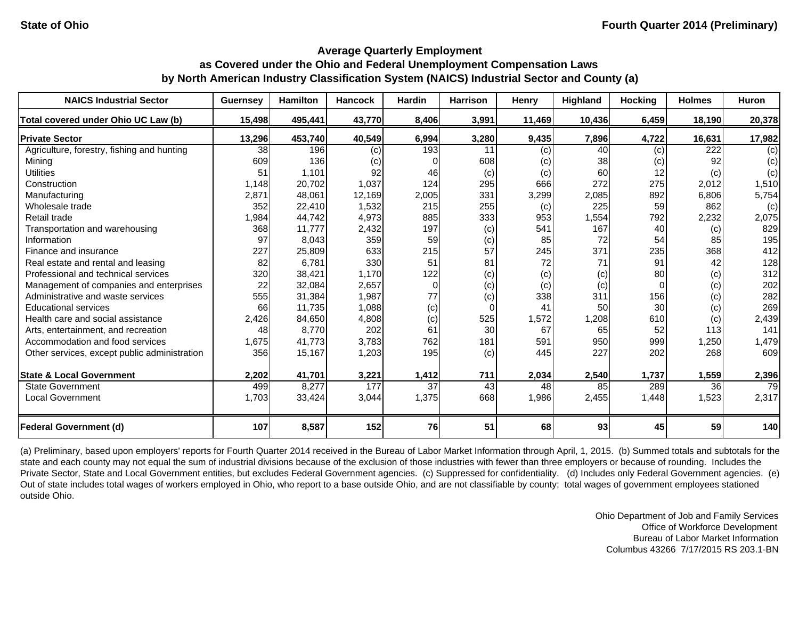| <b>NAICS Industrial Sector</b>               | <b>Guernsey</b> | <b>Hamilton</b> | <b>Hancock</b> | <b>Hardin</b> | <b>Harrison</b> | Henry  | Highland | <b>Hocking</b> | <b>Holmes</b> | <b>Huron</b> |
|----------------------------------------------|-----------------|-----------------|----------------|---------------|-----------------|--------|----------|----------------|---------------|--------------|
| Total covered under Ohio UC Law (b)          | 15,498          | 495,441         | 43,770         | 8,406         | 3,991           | 11,469 | 10,436   | 6,459          | 18,190        | 20,378       |
| <b>Private Sector</b>                        | 13,296          | 453,740         | 40,549         | 6,994         | 3,280           | 9,435  | 7,896    | 4,722          | 16,631        | 17,982       |
| Agriculture, forestry, fishing and hunting   | 38              | 196             | (c)            | 193           | 11              | (c)    | 40       | (c)            | 222           | (c)          |
| Mining                                       | 609             | 136             | (c)            |               | 608             | (c)    | 38       | (c)            | 92            | (c)          |
| <b>Utilities</b>                             | 51              | 1,101           | 92             | 46            | (c)             | (c)    | 60       | 12             | (c)           | (c)          |
| Construction                                 | 1.148           | 20,702          | 1,037          | 124           | 295             | 666    | 272      | 275            | 2,012         | 1,510        |
| Manufacturing                                | 2,871           | 48,061          | 12,169         | 2,005         | 331             | 3,299  | 2,085    | 892            | 6,806         | 5,754        |
| Wholesale trade                              | 352             | 22,410          | 1,532          | 215           | 255             | (c)    | 225      | 59             | 862           | (c)          |
| Retail trade                                 | 1,984           | 44,742          | 4,973          | 885           | 333             | 953    | 1,554    | 792            | 2,232         | 2,075        |
| Transportation and warehousing               | 368             | 11,777          | 2,432          | 197           | (c)             | 541    | 167      | 40             | (c)           | 829          |
| Information                                  | 97              | 8,043           | 359            | 59            | (c)             | 85     | 72       | 54             | 85            | 195          |
| Finance and insurance                        | 227             | 25,809          | 633            | 215           | 57              | 245    | 371      | 235            | 368           | 412          |
| Real estate and rental and leasing           | 82              | 6,781           | 330            | 51            | 81              | 72     | 71       | 91             | 42            | 128          |
| Professional and technical services          | 320             | 38,421          | 1,170          | 122           | (c)             | (c)    | (c)      | 80             | (c)           | 312          |
| Management of companies and enterprises      | 22              | 32,084          | 2,657          | $\Omega$      | (c)             | (c)    | (c)      | $\Omega$       | (c)           | 202          |
| Administrative and waste services            | 555             | 31,384          | 1,987          | 77            | (c)             | 338    | 311      | 156            | (c)           | 282          |
| <b>Educational services</b>                  | 66              | 11,735          | 1,088          | (c)           | 0               | 41     | 50       | <b>30</b>      | (c)           | 269          |
| Health care and social assistance            | 2,426           | 84,650          | 4,808          | (c)           | 525             | 1,572  | 1,208    | 610            | (c)           | 2,439        |
| Arts, entertainment, and recreation          | 48              | 8,770           | 202            | 61            | 30              | 67     | 65       | 52             | 113           | 141          |
| Accommodation and food services              | 1,675           | 41,773          | 3,783          | 762           | 181             | 591    | 950      | 999            | 1,250         | 1,479        |
| Other services, except public administration | 356             | 15,167          | 1,203          | 195           | (c)             | 445    | 227      | 202            | 268           | 609          |
| <b>State &amp; Local Government</b>          | 2,202           | 41,701          | 3,221          | 1,412         | 711             | 2,034  | 2,540    | 1,737          | 1,559         | 2,396        |
| <b>State Government</b>                      | 499             | 8,277           | 177            | 37            | 43              | 48     | 85       | 289            | 36            | 79           |
| <b>Local Government</b>                      | 1,703           | 33,424          | 3,044          | 1,375         | 668             | 1,986  | 2,455    | 1,448          | 1,523         | 2,317        |
| <b>Federal Government (d)</b>                | 107             | 8,587           | 152            | 76            | 51              | 68     | 93       | 45             | 59            | 140          |

(a) Preliminary, based upon employers' reports for Fourth Quarter 2014 received in the Bureau of Labor Market Information through April, 1, 2015. (b) Summed totals and subtotals for the state and each county may not equal the sum of industrial divisions because of the exclusion of those industries with fewer than three employers or because of rounding. Includes the Private Sector, State and Local Government entities, but excludes Federal Government agencies. (c) Suppressed for confidentiality. (d) Includes only Federal Government agencies. (e) Out of state includes total wages of workers employed in Ohio, who report to a base outside Ohio, and are not classifiable by county; total wages of government employees stationed outside Ohio.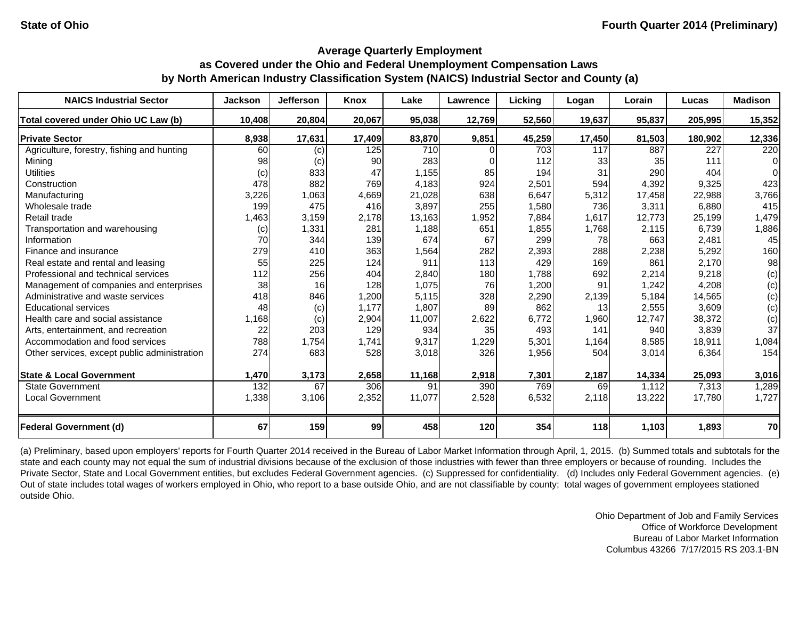| <b>NAICS Industrial Sector</b>               | <b>Jackson</b> | <b>Jefferson</b> | Knox   | Lake   | Lawrence | Licking | Logan  | Lorain          | Lucas   | <b>Madison</b> |
|----------------------------------------------|----------------|------------------|--------|--------|----------|---------|--------|-----------------|---------|----------------|
| Total covered under Ohio UC Law (b)          | 10,408         | 20,804           | 20,067 | 95,038 | 12,769   | 52,560  | 19,637 | 95,837          | 205,995 | 15,352         |
| <b>Private Sector</b>                        | 8,938          | 17,631           | 17,409 | 83,870 | 9,851    | 45,259  | 17,450 | 81,503          | 180,902 | 12,336         |
| Agriculture, forestry, fishing and hunting   | 60             | (c)              | 125    | 710    |          | 703     | 117    | 887             | 227     | 220            |
| Mining                                       | 98             | (c)              | 90     | 283    |          | 112     | 33     | 35 <sub>l</sub> | 111     | $\Omega$       |
| <b>Utilities</b>                             | (c)            | 833              | 47     | 1,155  | 85       | 194     | 31     | 290             | 404     | $\Omega$       |
| Construction                                 | 478            | 882              | 769    | 4,183  | 924      | 2,501   | 594    | 4,392           | 9,325   | 423            |
| Manufacturing                                | 3,226          | 1,063            | 4,669  | 21,028 | 638      | 6,647   | 5,312  | 17,458          | 22,988  | 3,766          |
| Wholesale trade                              | 199            | 475              | 416    | 3,897  | 255      | 1,580   | 736    | 3,311           | 6,880   | 415            |
| Retail trade                                 | 1,463          | 3,159            | 2,178  | 13,163 | 1,952    | 7,884   | 1,617  | 12,773          | 25,199  | 1,479          |
| Transportation and warehousing               | (c)            | 1,331            | 281    | 1,188  | 651      | 1,855   | 1,768  | 2,115           | 6,739   | 1,886          |
| Information                                  | 70             | 344              | 139    | 674    | 67       | 299     | 78     | 663             | 2,481   | 45             |
| Finance and insurance                        | 279            | 410              | 363    | 1,564  | 282      | 2,393   | 288    | 2,238           | 5,292   | 160            |
| Real estate and rental and leasing           | 55             | 225              | 124    | 911    | 113      | 429     | 169    | 861             | 2,170   | 98             |
| Professional and technical services          | 112            | 256              | 404    | 2,840  | 180      | 1,788   | 692    | 2,214           | 9,218   | (c)            |
| Management of companies and enterprises      | 38             | 16 <sup>1</sup>  | 128    | 1,075  | 76       | 1,200   | 91     | 1,242           | 4,208   | (c)            |
| Administrative and waste services            | 418            | 846              | 1,200  | 5,115  | 328      | 2,290   | 2,139  | 5,184           | 14,565  | (c)            |
| <b>Educational services</b>                  | 48             | (c)              | 1,177  | 1,807  | 89       | 862     | 13     | 2,555           | 3,609   | (c)            |
| Health care and social assistance            | 1,168          | (c)              | 2,904  | 11,007 | 2,622    | 6,772   | 1,960  | 12,747          | 38,372  | (c)            |
| Arts, entertainment, and recreation          | 22             | 203              | 129    | 934    | 35       | 493     | 141    | 940             | 3,839   | 37             |
| Accommodation and food services              | 788            | 1,754            | 1,741  | 9,317  | 1,229    | 5,301   | 1,164  | 8,585           | 18,911  | 1,084          |
| Other services, except public administration | 274            | 683              | 528    | 3,018  | 326      | 1,956   | 504    | 3,014           | 6,364   | 154            |
| <b>State &amp; Local Government</b>          | 1,470          | 3,173            | 2,658  | 11,168 | 2,918    | 7,301   | 2,187  | 14,334          | 25,093  | 3,016          |
| <b>State Government</b>                      | 132            | 67               | 306    | 91     | 390      | 769     | 69     | 1,112           | 7,313   | 1,289          |
| <b>Local Government</b>                      | 1,338          | 3,106            | 2,352  | 11,077 | 2,528    | 6,532   | 2,118  | 13,222          | 17,780  | 1,727          |
| <b>Federal Government (d)</b>                | 67             | 159              | 99     | 458    | 120      | 354     | 118    | 1,103           | 1,893   | 70             |

(a) Preliminary, based upon employers' reports for Fourth Quarter 2014 received in the Bureau of Labor Market Information through April, 1, 2015. (b) Summed totals and subtotals for the state and each county may not equal the sum of industrial divisions because of the exclusion of those industries with fewer than three employers or because of rounding. Includes the Private Sector, State and Local Government entities, but excludes Federal Government agencies. (c) Suppressed for confidentiality. (d) Includes only Federal Government agencies. (e) Out of state includes total wages of workers employed in Ohio, who report to a base outside Ohio, and are not classifiable by county; total wages of government employees stationed outside Ohio.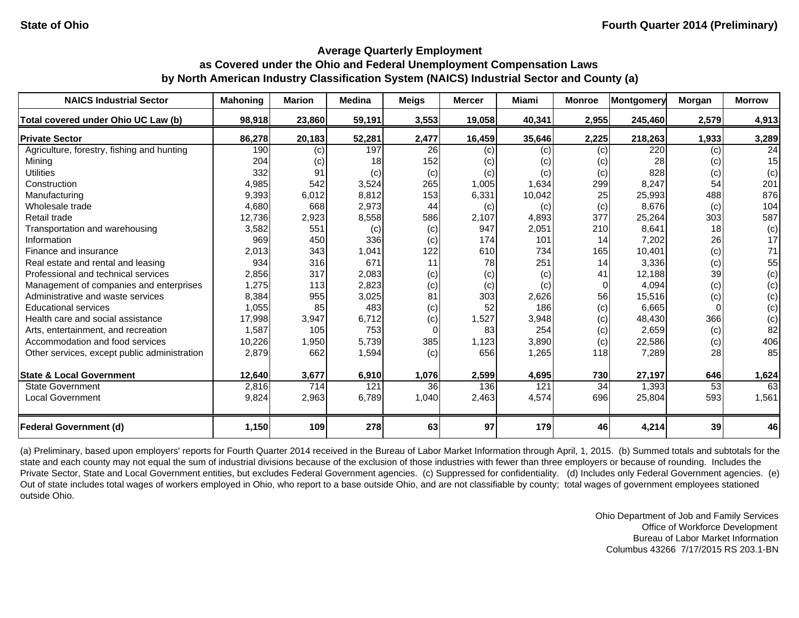| <b>NAICS Industrial Sector</b>               | <b>Mahoning</b> | <b>Marion</b> | <b>Medina</b> | <b>Meigs</b>    | <b>Mercer</b> | Miami  | <b>Monroe</b> | <b>Montgomery</b> | Morgan          | <b>Morrow</b> |
|----------------------------------------------|-----------------|---------------|---------------|-----------------|---------------|--------|---------------|-------------------|-----------------|---------------|
| Total covered under Ohio UC Law (b)          | 98,918          | 23,860        | 59,191        | 3,553           | 19,058        | 40,341 | 2,955         | 245,460           | 2,579           | 4,913         |
| <b>Private Sector</b>                        | 86,278          | 20,183        | 52,281        | 2,477           | 16,459        | 35,646 | 2,225         | 218,263           | 1,933           | 3,289         |
| Agriculture, forestry, fishing and hunting   | 190             | (c)           | 197           | <b>26</b>       | (c)           | (c)    | (c)           | 220               | (c)             | 24            |
| Mining                                       | 204             | (c)           | 18            | 152             | (c)           | (c)    | (c)           | 28                | (c)             | 15            |
| <b>Utilities</b>                             | 332             | 91            | (c)           | (c)             | (c)           | (c)    | (c)           | 828               | (c)             | (c)           |
| Construction                                 | 4,985           | 542           | 3,524         | 265             | 1,005         | 1,634  | 299           | 8,247             | 54              | 201           |
| Manufacturing                                | 9,393           | 6,012         | 8,812         | 153             | 6,331         | 10,042 | 25            | 25,993            | 488             | 876           |
| Wholesale trade                              | 4,680           | 668           | 2,973         | 44              | (c)           | (c)    | (c)           | 8,676             | (c)             | 104           |
| Retail trade                                 | 12,736          | 2,923         | 8,558         | 586             | 2,107         | 4,893  | 377           | 25,264            | 303             | 587           |
| Transportation and warehousing               | 3,582           | 551           | (c)           | (c)             | 947           | 2,051  | 210           | 8,641             | 18 <sup>1</sup> | (c)           |
| Information                                  | 969             | 450           | 336           | (c)             | 174           | 101    | 14            | 7,202             | 26              | 17            |
| Finance and insurance                        | 2,013           | 343           | 1,041         | 122             | 610           | 734    | 165           | 10,401            | (c)             | 71            |
| Real estate and rental and leasing           | 934             | 316           | 671           | 11              | 78            | 251    | 14            | 3,336             | (c)             | 55            |
| Professional and technical services          | 2,856           | 317           | 2,083         | (c)             | (c)           | (c)    | 41            | 12,188            | 39              | (c)           |
| Management of companies and enterprises      | 1,275           | 113           | 2,823         | (c)             | (c)           | (c)    | 0             | 4,094             | (c)             | (c)           |
| Administrative and waste services            | 8,384           | 955           | 3,025         | 81              | 303           | 2,626  | 56            | 15,516            | (c)             | (c)           |
| <b>Educational services</b>                  | 1,055           | 85            | 483           | (c)             | 52            | 186    | (c)           | 6,665             |                 | (c)           |
| Health care and social assistance            | 17,998          | 3,947         | 6,712         | (c)             | 1,527         | 3,948  | (c)           | 48,430            | 366             | (c)           |
| Arts, entertainment, and recreation          | 1,587           | 105           | 753           | $\Omega$        | 83            | 254    | (c)           | 2,659             | (c)             | 82            |
| Accommodation and food services              | 10,226          | 1,950         | 5,739         | 385             | 1,123         | 3,890  | (c)           | 22,586            | (c)             | 406           |
| Other services, except public administration | 2,879           | 662           | 1,594         | (c)             | 656           | 1,265  | 118           | 7,289             | 28              | 85            |
| <b>State &amp; Local Government</b>          | 12,640          | 3,677         | 6,910         | 1,076           | 2,599         | 4,695  | 730           | 27,197            | 646             | 1,624         |
| <b>State Government</b>                      | 2,816           | 714           | 121           | 36 <sup>1</sup> | 136           | 121    | 34            | 1,393             | 53              | 63            |
| <b>Local Government</b>                      | 9,824           | 2,963         | 6,789         | 1,040           | 2,463         | 4,574  | 696           | 25,804            | 593             | 1,561         |
| <b>Federal Government (d)</b>                | 1,150           | 109           | 278           | 63              | 97            | 179    | 46            | 4,214             | 39              | 46            |

(a) Preliminary, based upon employers' reports for Fourth Quarter 2014 received in the Bureau of Labor Market Information through April, 1, 2015. (b) Summed totals and subtotals for the state and each county may not equal the sum of industrial divisions because of the exclusion of those industries with fewer than three employers or because of rounding. Includes the Private Sector, State and Local Government entities, but excludes Federal Government agencies. (c) Suppressed for confidentiality. (d) Includes only Federal Government agencies. (e) Out of state includes total wages of workers employed in Ohio, who report to a base outside Ohio, and are not classifiable by county; total wages of government employees stationed outside Ohio.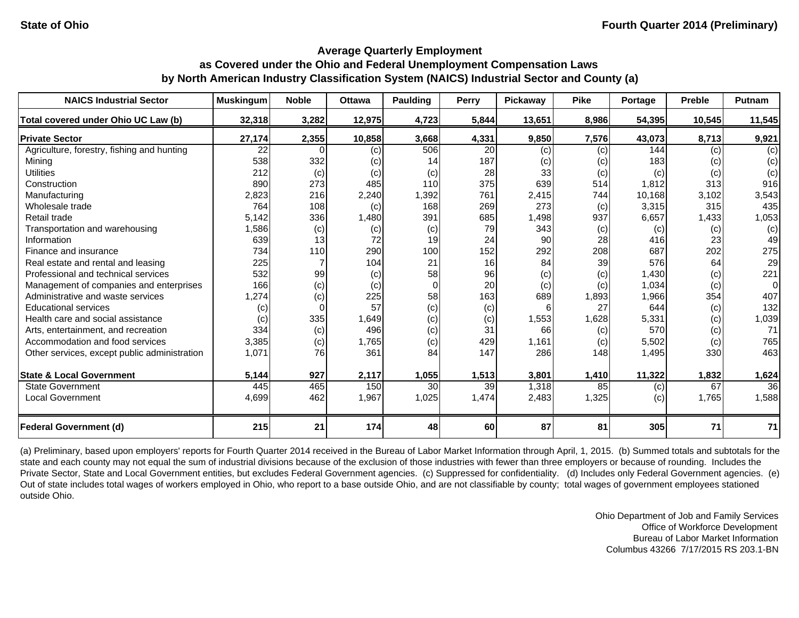| <b>NAICS Industrial Sector</b>               | <b>Muskingum</b> | <b>Noble</b> | <b>Ottawa</b> | <b>Paulding</b> | <b>Perry</b> | Pickaway | <b>Pike</b> | Portage | <b>Preble</b> | <b>Putnam</b> |
|----------------------------------------------|------------------|--------------|---------------|-----------------|--------------|----------|-------------|---------|---------------|---------------|
| Total covered under Ohio UC Law (b)          | 32,318           | 3,282        | 12,975        | 4,723           | 5,844        | 13,651   | 8,986       | 54,395  | 10,545        | 11,545        |
| <b>Private Sector</b>                        | 27,174           | 2,355        | 10,858        | 3,668           | 4,331        | 9,850    | 7,576       | 43,073  | 8,713         | 9,921         |
| Agriculture, forestry, fishing and hunting   | 22               |              | (c)           | 506             | 20           | (c)      | (c)         | 144     | (c)           | (c)           |
| Mining                                       | 538              | 332          | (c)           | 14              | 187          | (c)      | (c)         | 183     | (c)           | (c)           |
| <b>Utilities</b>                             | 212              | (c)          | (c)           | (c)             | 28           | 33       | (c)         | (c)     | (c)           | (c)           |
| Construction                                 | 890              | 273          | 485           | 110             | 375          | 639      | 514         | 1,812   | 313           | 916           |
| Manufacturing                                | 2,823            | 216          | 2,240         | 1,392           | 761          | 2,415    | 744         | 10,168  | 3,102         | 3,543         |
| Wholesale trade                              | 764              | 108          | (c)           | 168             | 269          | 273      | (c)         | 3,315   | 315           | 435           |
| Retail trade                                 | 5,142            | 336          | 1,480         | 391             | 685          | 1,498    | 937         | 6,657   | 1,433         | 1,053         |
| Transportation and warehousing               | 1,586            | (c)          | (c)           | (c)             | 79           | 343      | (c)         | (c)     | (c)           | (c)           |
| Information                                  | 639              | 13           | 72            | 19              | 24           | 90       | 28          | 416     | 23            | 49            |
| Finance and insurance                        | 734              | 110          | 290           | 100             | 152          | 292      | 208         | 687     | 202           | 275           |
| Real estate and rental and leasing           | 225              |              | 104           | 21              | 16           | 84       | 39          | 576     | 64            | 29            |
| Professional and technical services          | 532              | 99           | (c)           | 58              | 96           | (c)      | (c)         | 1,430   | (c)           | 221           |
| Management of companies and enterprises      | 166              | (c)          | (c)           | $\Omega$        | 20           | (c)      | (c)         | 1,034   | (c)           | $\Omega$      |
| Administrative and waste services            | 1,274            | (c)          | 225           | 58              | 163          | 689      | 1,893       | 1,966   | 354           | 407           |
| <b>Educational services</b>                  | (c)              |              | 57            | (c)             | (c)          | 6        | 27          | 644     | (c)           | 132           |
| Health care and social assistance            | (c)              | 335          | 1,649         | (c)             | (c)          | 1,553    | 1,628       | 5,331   | (c)           | 1,039         |
| Arts, entertainment, and recreation          | 334              | (c)          | 496           | (c)             | 31           | 66       | (c)         | 570     | (c)           | 71            |
| Accommodation and food services              | 3,385            | (c)          | 1,765         | (c)             | 429          | 1,161    | (c)         | 5,502   | (c)           | 765           |
| Other services, except public administration | 1,071            | 76           | 361           | 84              | 147          | 286      | 148         | 1,495   | 330           | 463           |
| <b>State &amp; Local Government</b>          | 5,144            | 927          | 2,117         | 1,055           | 1,513        | 3,801    | 1,410       | 11,322  | 1,832         | 1,624         |
| <b>State Government</b>                      | 445              | 465          | 150           | 30              | 39           | 1,318    | 85          | (c)     | 67            | 36            |
| <b>Local Government</b>                      | 4,699            | 462          | 1,967         | 1,025           | 1,474        | 2,483    | 1,325       | (c)     | 1,765         | 1,588         |
| <b>Federal Government (d)</b>                | 215              | 21           | 174           | 48              | 60           | 87       | 81          | 305     | 71            | 71            |

(a) Preliminary, based upon employers' reports for Fourth Quarter 2014 received in the Bureau of Labor Market Information through April, 1, 2015. (b) Summed totals and subtotals for the state and each county may not equal the sum of industrial divisions because of the exclusion of those industries with fewer than three employers or because of rounding. Includes the Private Sector, State and Local Government entities, but excludes Federal Government agencies. (c) Suppressed for confidentiality. (d) Includes only Federal Government agencies. (e) Out of state includes total wages of workers employed in Ohio, who report to a base outside Ohio, and are not classifiable by county; total wages of government employees stationed outside Ohio.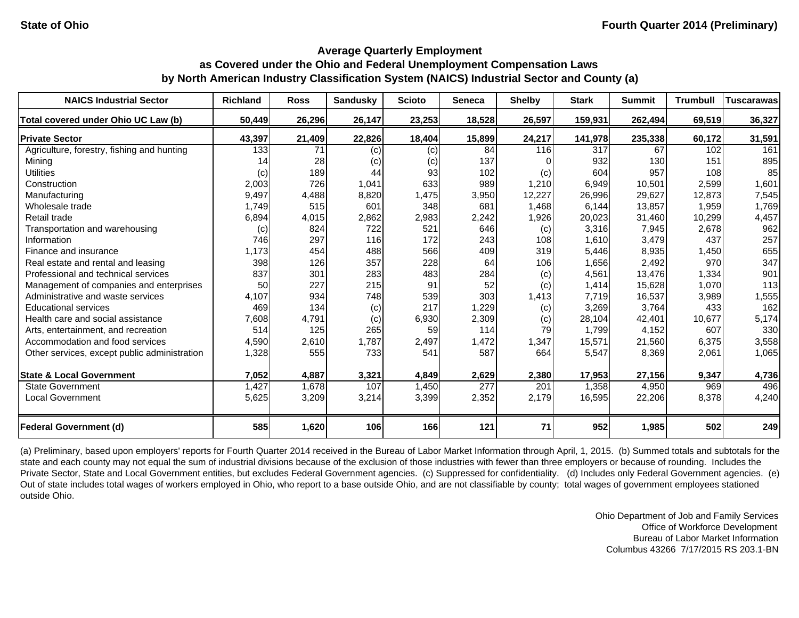| <b>NAICS Industrial Sector</b>               | <b>Richland</b> | <b>Ross</b> | Sandusky | <b>Scioto</b> | <b>Seneca</b> | <b>Shelby</b> | <b>Stark</b> | <b>Summit</b> | <b>Trumbull</b> | <b>Tuscarawas</b> |
|----------------------------------------------|-----------------|-------------|----------|---------------|---------------|---------------|--------------|---------------|-----------------|-------------------|
| Total covered under Ohio UC Law (b)          | 50,449          | 26,296      | 26,147   | 23,253        | 18,528        | 26,597        | 159,931      | 262,494       | 69,519          | 36,327            |
| <b>Private Sector</b>                        | 43,397          | 21,409      | 22,826   | 18,404        | 15,899        | 24,217        | 141,978      | 235,338       | 60,172          | 31,591            |
| Agriculture, forestry, fishing and hunting   | 133             | 71          | (c)      | (c)           | 84            | 116           | 317          | 67            | 102             | 161               |
| Mining                                       | 14              | 28          | (c)      | (c)           | 137           |               | 932          | 130           | 151             | 895               |
| <b>Utilities</b>                             | (c)             | 189         | 44       | 93            | 102           | (c)           | 604          | 957           | 108             | 85                |
| Construction                                 | 2,003           | 726         | 1,041    | 633           | 989           | 1,210         | 6,949        | 10,501        | 2,599           | 1,601             |
| Manufacturing                                | 9,497           | 4,488       | 8,820    | 1,475         | 3,950         | 12,227        | 26,996       | 29,627        | 12,873          | 7,545             |
| Wholesale trade                              | 1,749           | 515         | 601      | 348           | 681           | 1,468         | 6,144        | 13,857        | 1,959           | 1,769             |
| Retail trade                                 | 6,894           | 4,015       | 2,862    | 2,983         | 2,242         | 1,926         | 20,023       | 31,460        | 10,299          | 4,457             |
| Transportation and warehousing               | (c)             | 824         | 722      | 521           | 646           | (c)           | 3,316        | 7,945         | 2,678           | 962               |
| Information                                  | 746             | 297         | 116      | 172           | 243           | 108           | 1,610        | 3,479         | 437             | 257               |
| Finance and insurance                        | 1,173           | 454         | 488      | 566           | 409           | 319           | 5,446        | 8,935         | 1,450           | 655               |
| Real estate and rental and leasing           | 398             | 126         | 357      | 228           | 64            | 106           | 1,656        | 2,492         | 970             | 347               |
| Professional and technical services          | 837             | 301         | 283      | 483           | 284           | (c)           | 4,561        | 13,476        | 1,334           | 901               |
| Management of companies and enterprises      | 50              | 227         | 215      | 91            | 52            | (c)           | 1,414        | 15,628        | 1,070           | 113               |
| Administrative and waste services            | 4,107           | 934         | 748      | 539           | 303           | 1,413         | 7,719        | 16,537        | 3,989           | 1,555             |
| <b>Educational services</b>                  | 469             | 134         | (c)      | 217           | 1,229         | (c)           | 3,269        | 3,764         | 433             | 162               |
| Health care and social assistance            | 7,608           | 4,791       | (c)      | 6,930         | 2,309         | (c)           | 28,104       | 42,401        | 10,677          | 5,174             |
| Arts, entertainment, and recreation          | 514             | 125         | 265      | 59            | 114           | 79            | 1,799        | 4,152         | 607             | 330               |
| Accommodation and food services              | 4,590           | 2,610       | 1,787    | 2,497         | 1,472         | 1,347         | 15,571       | 21,560        | 6,375           | 3,558             |
| Other services, except public administration | 1,328           | 555         | 733      | 541           | 587           | 664           | 5,547        | 8,369         | 2,061           | 1,065             |
| <b>State &amp; Local Government</b>          | 7,052           | 4,887       | 3,321    | 4,849         | 2,629         | 2,380         | 17,953       | 27,156        | 9,347           | 4,736             |
| <b>State Government</b>                      | 1,427           | 1,678       | 107      | 1,450         | 277           | 201           | 1,358        | 4,950         | 969             | 496               |
| <b>Local Government</b>                      | 5,625           | 3,209       | 3,214    | 3,399         | 2,352         | 2,179         | 16,595       | 22,206        | 8,378           | 4,240             |
| <b>Federal Government (d)</b>                | 585             | 1,620       | 106      | 166           | 121           | 71            | 952          | 1,985         | 502             | 249               |

(a) Preliminary, based upon employers' reports for Fourth Quarter 2014 received in the Bureau of Labor Market Information through April, 1, 2015. (b) Summed totals and subtotals for the state and each county may not equal the sum of industrial divisions because of the exclusion of those industries with fewer than three employers or because of rounding. Includes the Private Sector, State and Local Government entities, but excludes Federal Government agencies. (c) Suppressed for confidentiality. (d) Includes only Federal Government agencies. (e) Out of state includes total wages of workers employed in Ohio, who report to a base outside Ohio, and are not classifiable by county; total wages of government employees stationed outside Ohio.